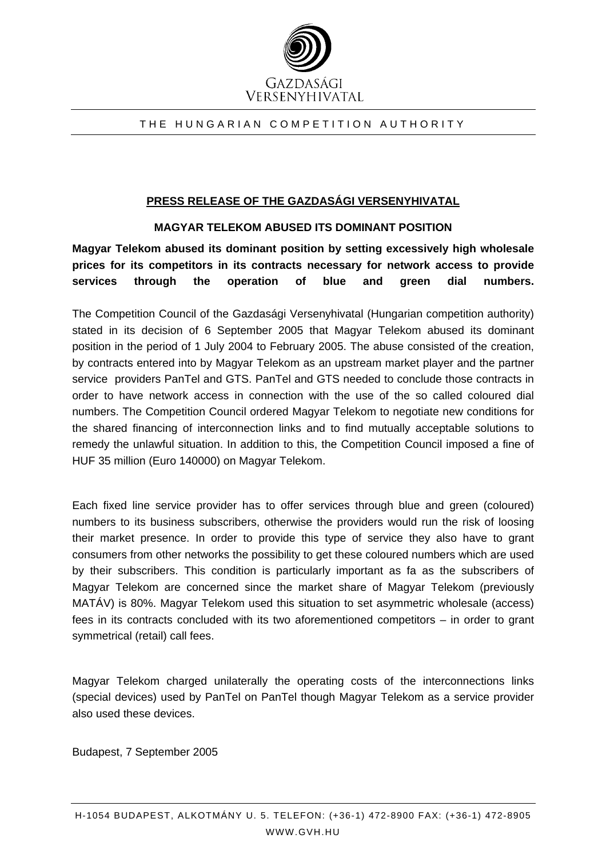

## THE HUNGARIAN COMPETITION AUTHORITY

## **PRESS RELEASE OF THE GAZDASÁGI VERSENYHIVATAL**

## **MAGYAR TELEKOM ABUSED ITS DOMINANT POSITION**

**Magyar Telekom abused its dominant position by setting excessively high wholesale prices for its competitors in its contracts necessary for network access to provide services through the operation of blue and green dial numbers.**

The Competition Council of the Gazdasági Versenyhivatal (Hungarian competition authority) stated in its decision of 6 September 2005 that Magyar Telekom abused its dominant position in the period of 1 July 2004 to February 2005. The abuse consisted of the creation, by contracts entered into by Magyar Telekom as an upstream market player and the partner service providers PanTel and GTS. PanTel and GTS needed to conclude those contracts in order to have network access in connection with the use of the so called coloured dial numbers. The Competition Council ordered Magyar Telekom to negotiate new conditions for the shared financing of interconnection links and to find mutually acceptable solutions to remedy the unlawful situation. In addition to this, the Competition Council imposed a fine of HUF 35 million (Euro 140000) on Magyar Telekom.

Each fixed line service provider has to offer services through blue and green (coloured) numbers to its business subscribers, otherwise the providers would run the risk of loosing their market presence. In order to provide this type of service they also have to grant consumers from other networks the possibility to get these coloured numbers which are used by their subscribers. This condition is particularly important as fa as the subscribers of Magyar Telekom are concerned since the market share of Magyar Telekom (previously MATÁV) is 80%. Magyar Telekom used this situation to set asymmetric wholesale (access) fees in its contracts concluded with its two aforementioned competitors – in order to grant symmetrical (retail) call fees.

Magyar Telekom charged unilaterally the operating costs of the interconnections links (special devices) used by PanTel on PanTel though Magyar Telekom as a service provider also used these devices.

Budapest, 7 September 2005